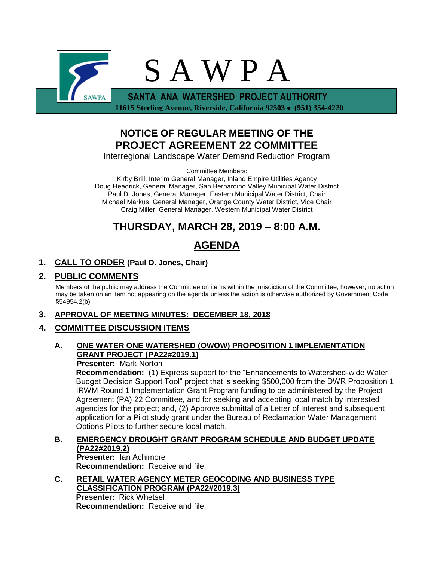

 **11615 Sterling Avenue, Riverside, California 92503** • **(951) 354-4220**

# **NOTICE OF REGULAR MEETING OF THE PROJECT AGREEMENT 22 COMMITTEE**

Interregional Landscape Water Demand Reduction Program

Committee Members:

Kirby Brill, Interim General Manager, Inland Empire Utilities Agency Doug Headrick, General Manager, San Bernardino Valley Municipal Water District Paul D. Jones, General Manager, Eastern Municipal Water District, Chair Michael Markus, General Manager, Orange County Water District, Vice Chair Craig Miller, General Manager, Western Municipal Water District

# **THURSDAY, MARCH 28, 2019 – 8:00 A.M.**

# **AGENDA**

# **1. CALL TO ORDER (Paul D. Jones, Chair)**

# **2. PUBLIC COMMENTS**

Members of the public may address the Committee on items within the jurisdiction of the Committee; however, no action may be taken on an item not appearing on the agenda unless the action is otherwise authorized by Government Code §54954.2(b).

## **3. APPROVAL OF MEETING MINUTES: DECEMBER 18, 2018**

## **4. COMMITTEE DISCUSSION ITEMS**

### **A. ONE WATER ONE WATERSHED (OWOW) PROPOSITION 1 IMPLEMENTATION GRANT PROJECT (PA22#2019.1)**

### **Presenter:** Mark Norton

**Recommendation:** (1) Express support for the "Enhancements to Watershed-wide Water Budget Decision Support Tool" project that is seeking \$500,000 from the DWR Proposition 1 IRWM Round 1 Implementation Grant Program funding to be administered by the Project Agreement (PA) 22 Committee, and for seeking and accepting local match by interested agencies for the project; and, (2) Approve submittal of a Letter of Interest and subsequent application for a Pilot study grant under the Bureau of Reclamation Water Management Options Pilots to further secure local match.

## **B. EMERGENCY DROUGHT GRANT PROGRAM SCHEDULE AND BUDGET UPDATE (PA22#2019.2)**

**Presenter:** Ian Achimore **Recommendation:** Receive and file.

**C. RETAIL WATER AGENCY METER GEOCODING AND BUSINESS TYPE CLASSIFICATION PROGRAM (PA22#2019.3) Presenter:** Rick Whetsel **Recommendation:** Receive and file.